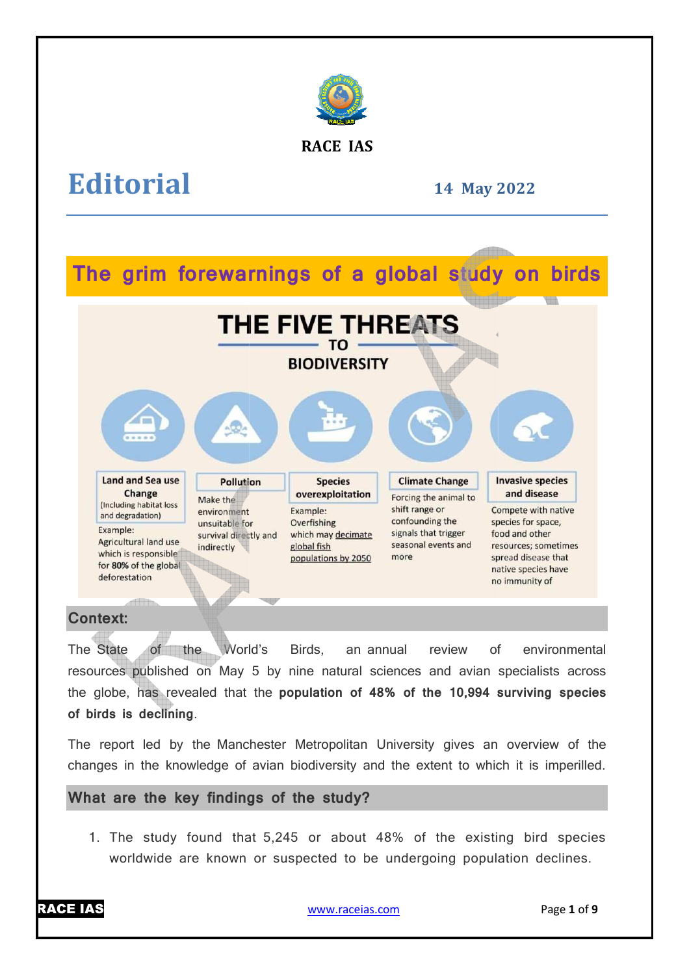

#### **RACE IAS**

# **Editorial**

#### **14 May 2022**

## **The grim forewarnings of a global study on birds**



#### **Context:**

The State of the World's Birds. resources published on May 5 by nine natural sciences and avian specialists across the globe, has revealed that the **population of 48% of the 10,994 surviving species of birds is declining**. an annual review of environmental

The report led by the Manchester Metropolitan University gives an overview of the changes in the knowledge of avian biodiversity and the extent to which it is imperilled.

#### **What are the key findings of the study? he**

1. The study found that 5,245 or about 48% of the existing bird species worldwide are known or suspected to be undergoing population declines.

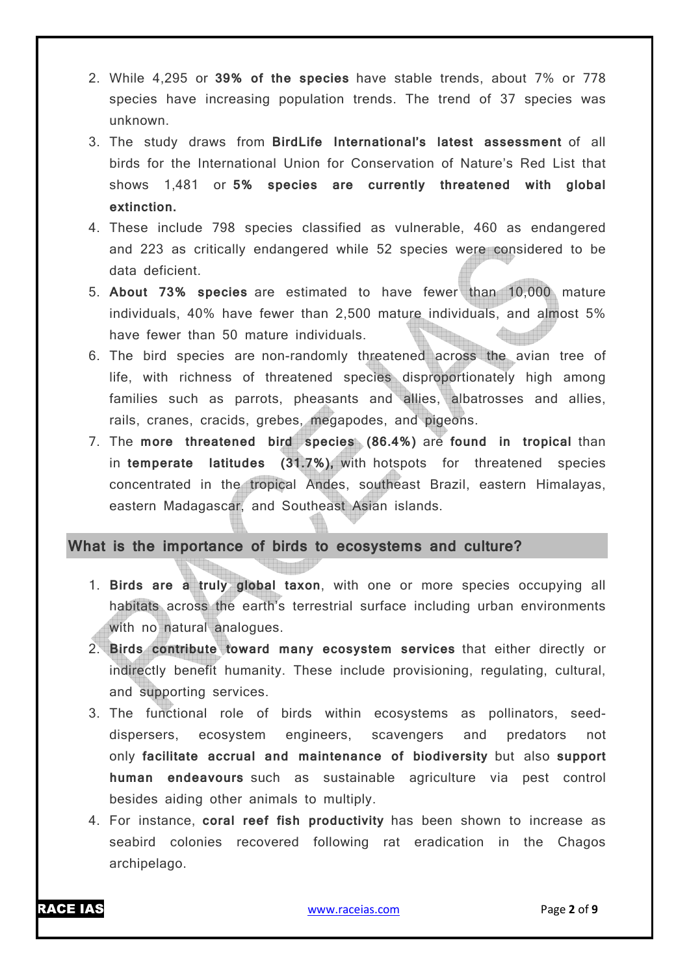- 2. While 4,295 or **39% of the species** have stable trends, about 7% or 778 species have increasing population trends. The trend of 37 species was unknown.
- 3. The study draws from **BirdLife International's latest assessment** of all birds for the International Union for Conservation of Nature's Red List that shows 1,481 or **5% species are currently threatened with global extinction.**
- 4. These include 798 species classified as vulnerable, 460 as endangered and 223 as critically endangered while 52 species were considered to be data deficient.
- 5. **About 73% species** are estimated to have fewer than 10,000 mature individuals, 40% have fewer than 2,500 mature individuals, and almost 5% have fewer than 50 mature individuals.
- 6. The bird species are non-randomly threatened across the avian tree of life, with richness of threatened species disproportionately high among families such as parrots, pheasants and allies, albatrosses and allies, rails, cranes, cracids, grebes, megapodes, and pigeons.
- 7. The **more threatened bird species (86.4%)** are **found in tropical** than in **temperate latitudes (31.7%),** with hotspots for threatened species concentrated in the tropical Andes, southeast Brazil, eastern Himalayas, eastern Madagascar, and Southeast Asian islands.

#### **What is the importance of birds to ecosystems and culture?**

- 1. **Birds are a truly global taxon**, with one or more species occupying all habitats across the earth's terrestrial surface including urban environments with no natural analogues.
- 2. **Birds contribute toward many ecosystem services** that either directly or indirectly benefit humanity. These include provisioning, regulating, cultural, and supporting services.
- 3. The functional role of birds within ecosystems as pollinators, seeddispersers, ecosystem engineers, scavengers and predators not only **facilitate accrual and maintenance of biodiversity** but also **support human endeavours** such as sustainable agriculture via pest control besides aiding other animals to multiply.
- 4. For instance, **coral reef fish productivity** has been shown to increase as seabird colonies recovered following rat eradication in the Chagos archipelago.

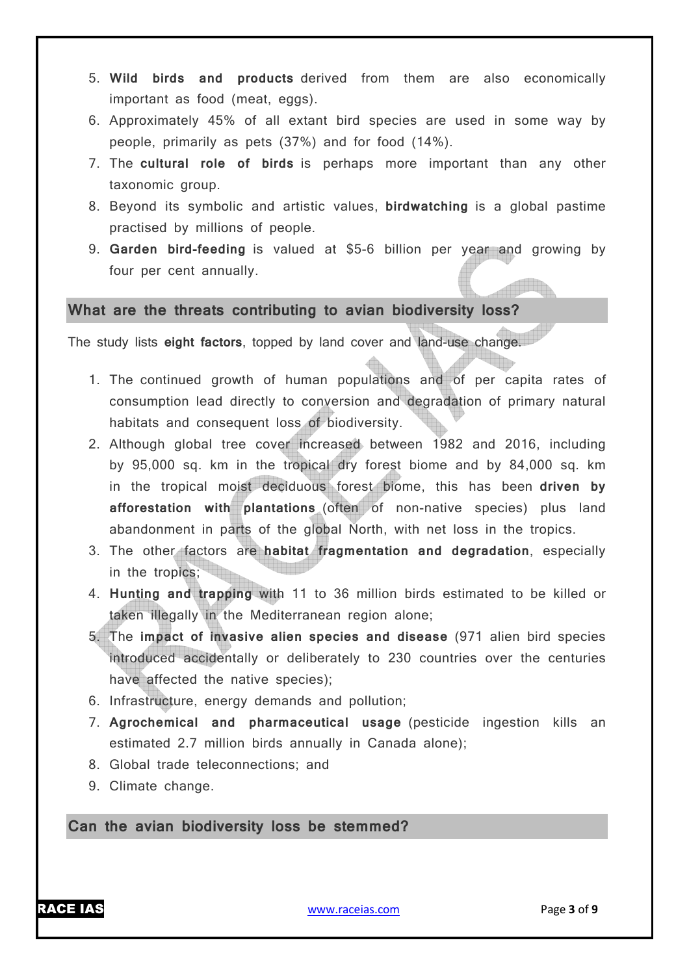- 5. **Wild birds and products** derived from them are also economically important as food (meat, eggs).
- 6. Approximately 45% of all extant bird species are used in some way by people, primarily as pets (37%) and for food (14%).
- 7. The **cultural role of birds** is perhaps more important than any other taxonomic group.
- 8. Beyond its symbolic and artistic values, **birdwatching** is a global pastime practised by millions of people.
- 9. **Garden bird-feeding** is valued at \$5-6 billion per year and growing by four per cent annually.

#### **What are the threats contributing to avian biodiversity loss?**

The study lists **eight factors**, topped by land cover and land-use change.

- 1. The continued growth of human populations and of per capita rates of consumption lead directly to conversion and degradation of primary natural habitats and consequent loss of biodiversity.
- 2. Although global tree cover increased between 1982 and 2016, including by 95,000 sq. km in the tropical dry forest biome and by 84,000 sq. km in the tropical moist deciduous forest biome, this has been **driven by afforestation with plantations** (often of non-native species) plus land abandonment in parts of the global North, with net loss in the tropics.
- 3. The other factors are **habitat fragmentation and degradation**, especially in the tropics;
- 4. **Hunting and trapping** with 11 to 36 million birds estimated to be killed or taken illegally in the Mediterranean region alone;
- 5. The **impact of invasive alien species and disease** (971 alien bird species introduced accidentally or deliberately to 230 countries over the centuries have affected the native species);
- 6. Infrastructure, energy demands and pollution;
- 7. **Agrochemical and pharmaceutical usage** (pesticide ingestion kills an estimated 2.7 million birds annually in Canada alone);
- 8. Global trade teleconnections; and
- 9. Climate change.

**Can the avian biodiversity loss be stemmed?**

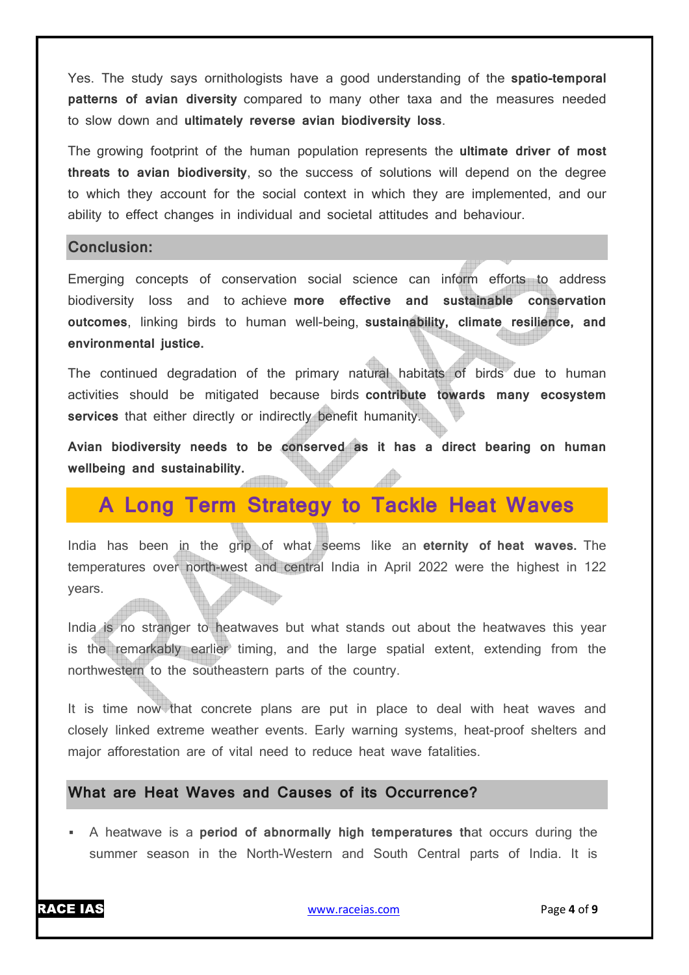Yes. The study says ornithologists have a good understanding of the **spatio-temporal patterns of avian diversity** compared to many other taxa and the measures needed to slow down and **ultimately reverse avian biodiversity loss**.

The growing footprint of the human population represents the **ultimate driver of most threats to avian biodiversity**, so the success of solutions will depend on the degree to which they account for the social context in which they are implemented, and our ability to effect changes in individual and societal attitudes and behaviour.

#### **Conclusion:**

Emerging concepts of conservation social science can inform efforts to address biodiversity loss and to achieve **more effective and sustainable conservation outcomes**, linking birds to human well-being, **sustainability, climate resilience, and environmental justice.**

The continued degradation of the primary natural habitats of birds due to human activities should be mitigated because birds **contribute towards many ecosystem services** that either directly or indirectly benefit humanity.

**Avian biodiversity needs to be conserved as it has a direct bearing on human wellbeing and sustainability.**

### **A Long Term Strategy to Tackle Heat Waves**

India has been in the grip of what seems like an **eternity of heat waves.** The temperatures over north-west and central India in April 2022 were the highest in 122 years.

India is no stranger to heatwaves but what stands out about the heatwaves this year is the remarkably earlier timing, and the large spatial extent, extending from the northwestern to the southeastern parts of the country.

It is time now that concrete plans are put in place to deal with heat waves and closely linked extreme weather events. Early warning systems, heat-proof shelters and major afforestation are of vital need to reduce heat wave fatalities.

#### **What are Heat Waves and Causes of its Occurrence?**

 A heatwave is a **period of abnormally high temperatures th**at occurs during the summer season in the North-Western and South Central parts of India. It is

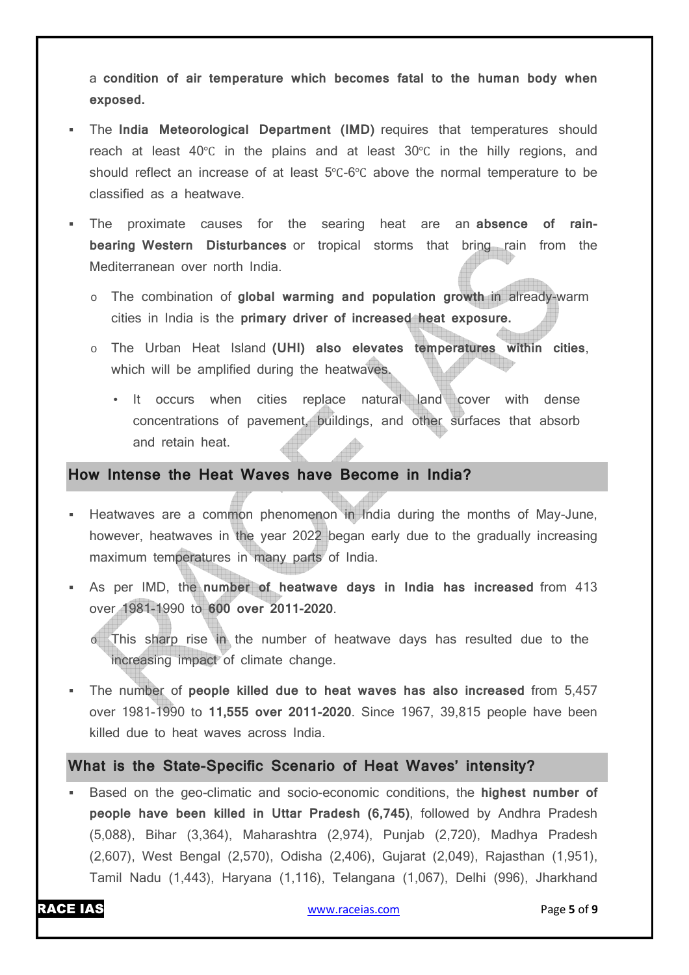a **condition of air temperature which becomes fatal to the human body when exposed.**

- The **India Meteorological Department (IMD)** requires that temperatures should reach at least 40℃ in the plains and at least 30℃ in the hilly regions, and should reflect an increase of at least 5℃-6℃ above the normal temperature to be classified as a heatwave.
- The proximate causes for the searing heat are an **absence of rainbearing Western Disturbances** or tropical storms that bring rain from the Mediterranean over north India.
	- o The combination of **global warming and population growth** in already-warm cities in India is the **primary driver of increased heat exposure.**
	- o The Urban Heat Island **(UHI) also elevates temperatures within cities**, which will be amplified during the heatwaves.
		- It occurs when cities replace natural land cover with dense concentrations of pavement, buildings, and other surfaces that absorb and retain heat.

#### **How Intense the Heat Waves have Become in India?**

- Heatwaves are a common phenomenon in India during the months of May-June, however, heatwaves in the year 2022 began early due to the gradually increasing maximum temperatures in many parts of India.
- As per IMD, the **number of heatwave days in India has increased** from 413 over 1981-1990 to **600 over 2011-2020**.

o This sharp rise in the number of heatwave days has resulted due to the increasing impact of climate change.

 The number of **people killed due to heat waves has also increased** from 5,457 over 1981-1990 to **11,555 over 2011-2020**. Since 1967, 39,815 people have been killed due to heat waves across India.

#### **What is the State-Specific Scenario of Heat Waves' intensity?**

 Based on the geo-climatic and socio-economic conditions, the **highest number of people have been killed in Uttar Pradesh (6,745)**, followed by Andhra Pradesh (5,088), Bihar (3,364), Maharashtra (2,974), Punjab (2,720), Madhya Pradesh (2,607), West Bengal (2,570), Odisha (2,406), Gujarat (2,049), Rajasthan (1,951), Tamil Nadu (1,443), Haryana (1,116), Telangana (1,067), Delhi (996), Jharkhand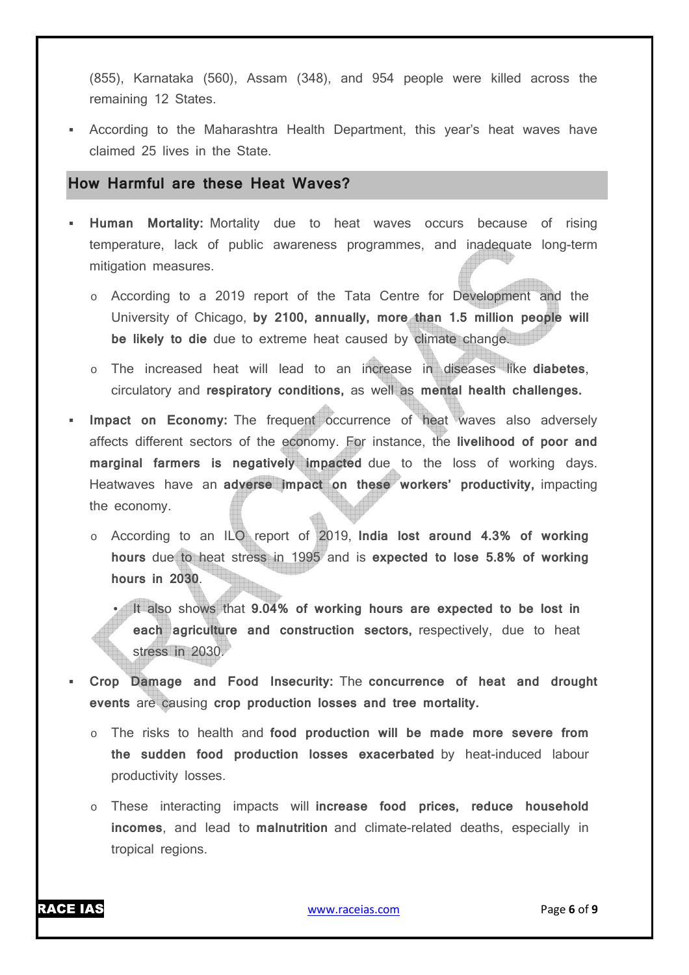(855), Karnataka (560), Assam (348), and 954 people were killed across the remaining 12 States.

 According to the Maharashtra Health Department, this year's heat waves have claimed 25 lives in the State.

#### **How Harmful are these Heat Waves?**

- **Human Mortality:** Mortality due to heat waves occurs because of rising temperature, lack of public awareness programmes, and inadequate long-term mitigation measures.
	- o According to a 2019 report of the Tata Centre for Development and the University of Chicago, **by 2100, annually, more than 1.5 million people will be likely to die** due to extreme heat caused by climate change.
	- o The increased heat will lead to an increase in diseases like **diabetes**, circulatory and **respiratory conditions,** as well as **mental health challenges.**
- **Impact on Economy:** The frequent occurrence of heat waves also adversely affects different sectors of the economy. For instance, the **livelihood of poor and marginal farmers is negatively impacted** due to the loss of working days. Heatwaves have an **adverse impact on these workers' productivity,** impacting the economy.
	- o According to an ILO report of 2019, **India lost around 4.3% of working hours** due to heat stress in 1995 and is **expected to lose 5.8% of working hours in 2030**.

• It also shows that **9.04% of working hours are expected to be lost in each agriculture and construction sectors,** respectively, due to heat stress in 2030.

- **Crop Damage and Food Insecurity:** The **concurrence of heat and drought events** are causing **crop production losses and tree mortality.**
	- o The risks to health and **food production will be made more severe from the sudden food production losses exacerbated** by heat-induced labour productivity losses.
	- o These interacting impacts will **increase food prices, reduce household incomes**, and lead to **malnutrition** and climate-related deaths, especially in tropical regions.

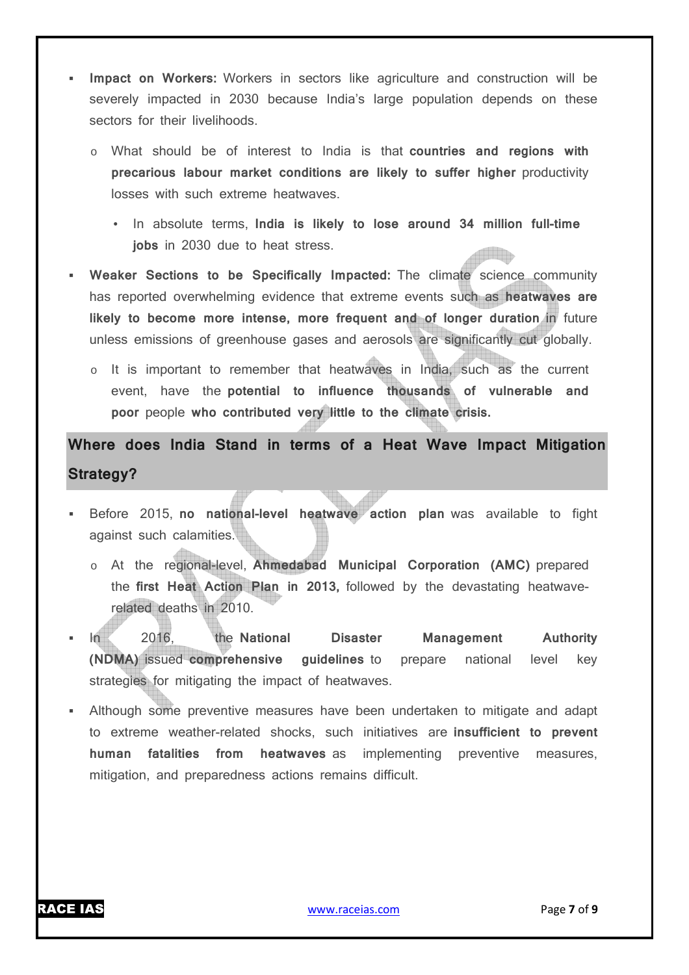- **Impact on Workers:** Workers in sectors like agriculture and construction will be severely impacted in 2030 because India's large population depends on these sectors for their livelihoods.
	- o What should be of interest to India is that **countries and regions with precarious labour market conditions are likely to suffer higher** productivity losses with such extreme heatwaves.
		- In absolute terms, **India is likely to lose around 34 million full-time jobs** in 2030 due to heat stress.
- **Weaker Sections to be Specifically Impacted:** The climate science community has reported overwhelming evidence that extreme events such as **heatwaves are likely to become more intense, more frequent and of longer duration in future** unless emissions of greenhouse gases and aerosols are significantly cut globally.
	- o It is important to remember that heatwaves in India, such as the current event, have the **potential to influence thousands of vulnerable and poor** people **who contributed very little to the climate crisis.**

**Where does India Stand in terms of a Heat Wave Impact Mitigation Strategy?** 

- Before 2015, **no national-level heatwave action plan** was available to fight against such calamities.
	- o At the regional-level, **Ahmedabad Municipal Corporation (AMC)** prepared the **first Heat Action Plan in 2013,** followed by the devastating heatwaverelated deaths in 2010.
- In 2016, the **National Disaster Management Authority (NDMA)** issued **comprehensive guidelines** to prepare national level key strategies for mitigating the impact of heatwaves.
- Although some preventive measures have been undertaken to mitigate and adapt to extreme weather-related shocks, such initiatives are **insufficient to prevent human fatalities from heatwaves** as implementing preventive measures, mitigation, and preparedness actions remains difficult.

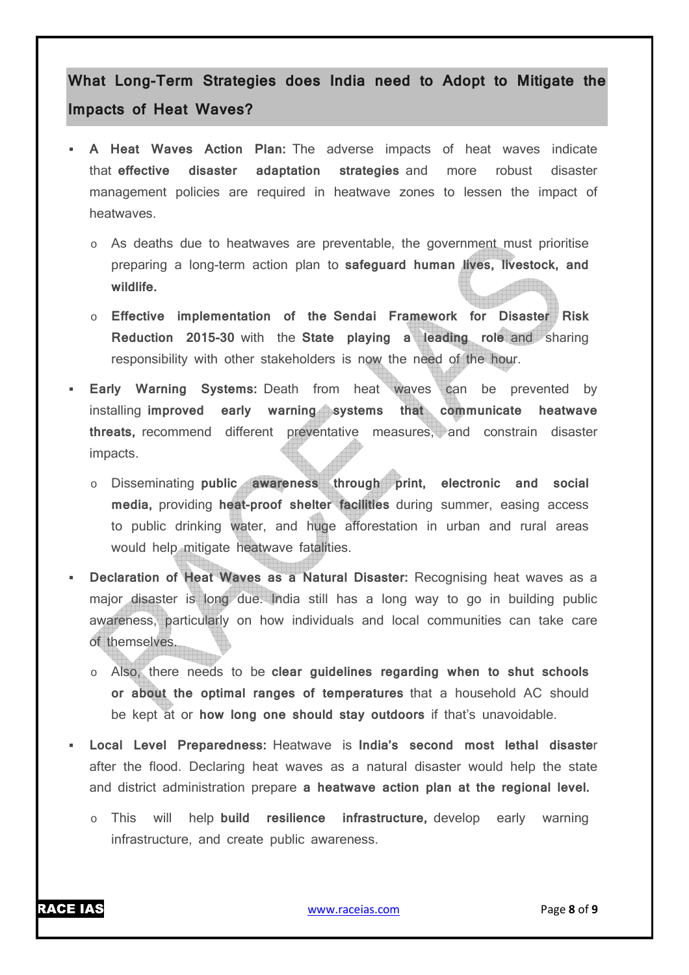### **What Long-Term Strategies does India need to Adopt to Mitigate the Impacts of Heat Waves?**

- **A Heat Waves Action Plan:** The adverse impacts of heat waves indicate that **effective disaster adaptation strategies** and more robust disaster management policies are required in heatwave zones to lessen the impact of heatwaves.
	- o As deaths due to heatwaves are preventable, the government must prioritise preparing a long-term action plan to **safeguard human lives, livestock, and wildlife.**
	- o **Effective implementation of the Sendai Framework for Disaster Risk Reduction 2015-30** with the **State playing a leading role** and sharing responsibility with other stakeholders is now the need of the hour.
- **Early Warning Systems:** Death from heat waves can be prevented by installing **improved early warning systems that communicate heatwave threats,** recommend different preventative measures, and constrain disaster impacts.
	- o Disseminating **public awareness through print, electronic and social media,** providing **heat-proof shelter facilities** during summer, easing access to public drinking water, and huge afforestation in urban and rural areas would help mitigate heatwave fatalities.
- **Declaration of Heat Waves as a Natural Disaster:** Recognising heat waves as a major disaster is long due. India still has a long way to go in building public awareness, particularly on how individuals and local communities can take care of themselves.
	- o Also, there needs to be **clear guidelines regarding when to shut schools or about the optimal ranges of temperatures** that a household AC should be kept at or **how long one should stay outdoors** if that's unavoidable.
- **Local Level Preparedness:** Heatwave is **India's second most lethal disaste**r after the flood. Declaring heat waves as a natural disaster would help the state and district administration prepare **a heatwave action plan at the regional level.**
	- o This will help **build resilience infrastructure,** develop early warning infrastructure, and create public awareness.